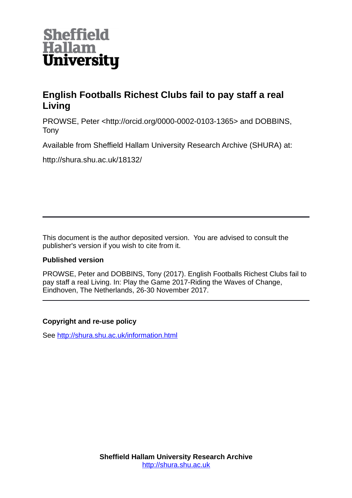

# **English Footballs Richest Clubs fail to pay staff a real Living**

PROWSE, Peter <http://orcid.org/0000-0002-0103-1365> and DOBBINS, Tony

Available from Sheffield Hallam University Research Archive (SHURA) at:

http://shura.shu.ac.uk/18132/

This document is the author deposited version. You are advised to consult the publisher's version if you wish to cite from it.

# **Published version**

PROWSE, Peter and DOBBINS, Tony (2017). English Footballs Richest Clubs fail to pay staff a real Living. In: Play the Game 2017-Riding the Waves of Change, Eindhoven, The Netherlands, 26-30 November 2017.

# **Copyright and re-use policy**

See<http://shura.shu.ac.uk/information.html>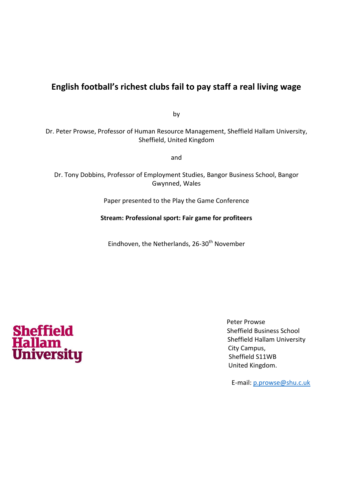# **English football's richest clubs fail to pay staff a real living wage**

by

Dr. Peter Prowse, Professor of Human Resource Management, Sheffield Hallam University, Sheffield, United Kingdom

and

Dr. Tony Dobbins, Professor of Employment Studies, Bangor Business School, Bangor Gwynned, Wales

Paper presented to the Play the Game Conference

**Stream: Professional sport: Fair game for profiteers** 

Eindhoven, the Netherlands, 26-30<sup>th</sup> November



 Peter Prowse Sheffield Business School Sheffield Hallam University City Campus, Sheffield S11WB United Kingdom.

E-mail: [p.prowse@shu.c.uk](mailto:p.prowse@shu.c.uk)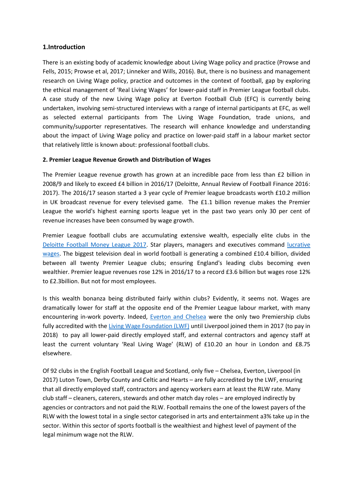### **1.Introduction**

There is an existing body of academic knowledge about Living Wage policy and practice (Prowse and Fells, 2015; Prowse et al, 2017; Linneker and Wills, 2016). But, there is no business and management research on Living Wage policy, practice and outcomes in the context of football, gap by exploring the ethical management of 'Real Living Wages' for lower-paid staff in Premier League football clubs. A case study of the new Living Wage policy at Everton Football Club (EFC) is currently being undertaken, involving semi-structured interviews with a range of internal participants at EFC, as well as selected external participants from The Living Wage Foundation, trade unions, and community/supporter representatives. The research will enhance knowledge and understanding about the impact of Living Wage policy and practice on lower-paid staff in a labour market sector that relatively little is known about: professional football clubs.

#### **2. Premier League Revenue Growth and Distribution of Wages**

The Premier League revenue growth has grown at an incredible pace from less than £2 billion in 2008/9 and likely to exceed £4 billion in 2016/17 (Deloitte, Annual Review of Football Finance 2016: 2017). The 2016/17 season started a 3 year cycle of Premier league broadcasts worth £10.2 million in UK broadcast revenue for every televised game. The £1.1 billion revenue makes the Premier League the world's highest earning sports league yet in the past two years only 30 per cent of revenue increases have been consumed by wage growth.

Premier League football clubs are accumulating extensive wealth, especially elite clubs in the [Deloitte Football Money League 2017.](https://www2.deloitte.com/uk/en/pages/sports-business-group/articles/deloitte-football-money-league.html) Star players, managers and executives command [lucrative](http://sillyseason.com/list/salaries/premier-league-wages-per-team-69064/)  [wages.](http://sillyseason.com/list/salaries/premier-league-wages-per-team-69064/) The biggest television deal in world football is generating a combined £10.4 billion, divided between all twenty Premier League clubs; ensuring England's leading clubs becoming even wealthier. Premier league revenues rose 12% in 2016/17 to a record £3.6 billion but wages rose 12% to £2.3billion. But not for most employees.

Is this wealth bonanza being distributed fairly within clubs? Evidently, it seems not. Wages are dramatically lower for staff at the opposite end of the Premier League labour market, with many encountering in-work poverty. Indeed, [Everton and Chelsea](https://www.theguardian.com/society/2016/oct/31/everton-to-pay-staff-living-wage) were the only two Premiership clubs fully accredited with the [Living Wage Foundation \(LWF\)](http://www.livingwage.org.uk/) until Liverpool joined them in 2017 (to pay in 2018) to pay all lower-paid directly employed staff, and external contractors and agency staff at least the current voluntary 'Real Living Wage' (RLW) of £10.20 an hour in London and £8.75 elsewhere.

Of 92 clubs in the English Football League and Scotland, only five – Chelsea, Everton, Liverpool (in 2017) Luton Town, Derby County and Celtic and Hearts – are fully accredited by the LWF, ensuring that all directly employed staff, contractors and agency workers earn at least the RLW rate. Many club staff – cleaners, caterers, stewards and other match day roles – are employed indirectly by agencies or contractors and not paid the RLW. Football remains the one of the lowest payers of the RLW with the lowest total in a single sector categorised in arts and entertainment a3% take up in the sector. Within this sector of sports football is the wealthiest and highest level of payment of the legal minimum wage not the RLW.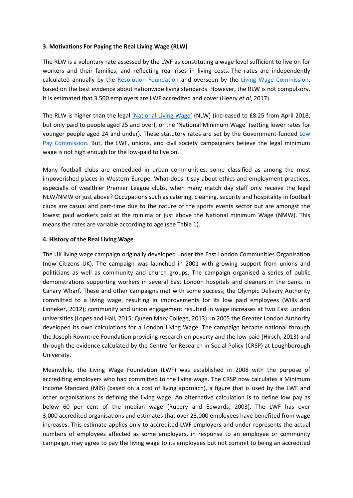#### **3. Motivations For Paying the Real Living Wage (RLW)**

The RLW is a voluntary rate assessed by the LWF as constituting a wage level sufficient to live on for workers and their families, and reflecting real rises in living costs. The rates are independently calculated annually by the [Resolution Foundation](http://www.resolutionfoundation.org/) and overseen by the [Living Wage Commission,](http://www.lliving/) based on the best evidence about nationwide living standards. However, the RLW is not compulsory. It is estimated that 3,500 employers are LWF accredited and cover (Heery *et al*, 2017).

The RLW is higher than the legal ['National Living Wage'](https://www.gov.uk/national-minimum-wage-rates) (NLW) (increased to £8.25 from April 2018, but only paid to people aged 25 and over), or the 'National Minimum Wage' (setting lower rates for younger people aged 24 and under). These statutory rates are set by the Government-funded [Low](https://www.gov.uk/government/organisations/low-pay-commission)  [Pay Commission.](https://www.gov.uk/government/organisations/low-pay-commission) But, the LWF, unions, and civil society campaigners believe the legal minimum wage is not high enough for the low-paid to live on.

Many football clubs are embedded in urban communities, some classified as among the most impoverished places in Western Europe. What does it say about ethics and employment practices, especially of wealthier Premier League clubs, when many match day staff only receive the legal NLW/NMW or just above? Occupations such as catering, cleaning, security and hospitality in football clubs are casual and part-time due to the nature of the sports events sector but are amongst the lowest paid workers paid at the minima or just above the National minimum Wage (NMW). This means the rates are variable according to age (see Table 1).

#### **4. History of the Real Living Wage**

The UK living wage campaign originally developed under the East London Communities Organisation (now Citizens UK). The campaign was launched in 2001 with growing support from unions and politicians as well as community and church groups. The campaign organised a series of public demonstrations supporting workers in several East London hospitals and cleaners in the banks in Canary Wharf. These and other campaigns met with some success; the Olympic Delivery Authority committed to a living wage, resulting in improvements for its low paid employees (Wills and Linneker, 2012); community and union engagement resulted in wage increases at two East London universities (Lopes and Hall, 2015; Queen Mary College, 2013). In 2005 the Greater London Authority developed its own calculations for a London Living Wage. The campaign became national through the Joseph Rowntree Foundation providing research on poverty and the low paid (Hirsch, 2013) and through the evidence calculated by the Centre for Research in Social Policy (CRSP) at Loughborough University.

Meanwhile, the Living Wage Foundation (LWF) was established in 2008 with the purpose of accrediting employers who had committed to the living wage. The CRSP now calculates a Minimum Income Standard (MIS) (based on a cost of living approach), a figure that is used by the LWF and other organisations as defining the living wage. An alternative calculation is to define low pay as below 60 per cent of the median wage (Rubery and Edwards, 2003). The LWF has over 3,000 accredited organisations and estimates that over 23,000 employees have benefited from wage increases. This estimate applies only to accredited LWF employers and under-represents the actual numbers of employees affected as some employers, in response to an employee or community campaign, may agree to pay the living wage to its employees but not commit to being an accredited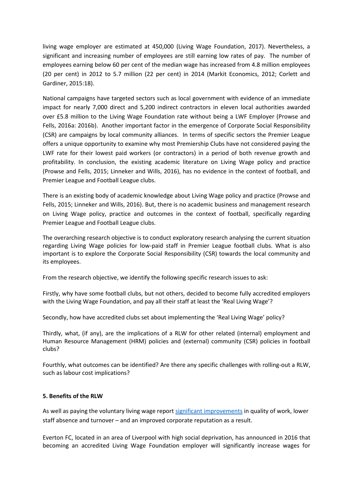living wage employer are estimated at 450,000 (Living Wage Foundation, 2017). Nevertheless, a significant and increasing number of employees are still earning low rates of pay. The number of employees earning below 60 per cent of the median wage has increased from 4.8 million employees (20 per cent) in 2012 to 5.7 million (22 per cent) in 2014 (Markit Economics, 2012; Corlett and Gardiner, 2015:18).

National campaigns have targeted sectors such as local government with evidence of an immediate impact for nearly 7,000 direct and 5,200 indirect contractors in eleven local authorities awarded over £5.8 million to the Living Wage Foundation rate without being a LWF Employer (Prowse and Fells, 2016a: 2016b). Another important factor in the emergence of Corporate Social Responsibility (CSR) are campaigns by local community alliances. In terms of specific sectors the Premier League offers a unique opportunity to examine why most Premiership Clubs have not considered paying the LWF rate for their lowest paid workers (or contractors) in a period of both revenue growth and profitability. In conclusion, the existing academic literature on Living Wage policy and practice (Prowse and Fells, 2015; Linneker and Wills, 2016), has no evidence in the context of football, and Premier League and Football League clubs.

There is an existing body of academic knowledge about Living Wage policy and practice (Prowse and Fells, 2015; Linneker and Wills, 2016). But, there is no academic business and management research on Living Wage policy, practice and outcomes in the context of football, specifically regarding Premier League and Football League clubs.

The overarching research objective is to conduct exploratory research analysing the current situation regarding Living Wage policies for low-paid staff in Premier League football clubs. What is also important is to explore the Corporate Social Responsibility (CSR) towards the local community and its employees.

From the research objective, we identify the following specific research issues to ask:

Firstly, why have some football clubs, but not others, decided to become fully accredited employers with the Living Wage Foundation, and pay all their staff at least the 'Real Living Wage'?

Secondly, how have accredited clubs set about implementing the 'Real Living Wage' policy?

Thirdly, what, (if any), are the implications of a RLW for other related (internal) employment and Human Resource Management (HRM) policies and (external) community (CSR) policies in football clubs?

Fourthly, what outcomes can be identified? Are there any specific challenges with rolling-out a RLW, such as labour cost implications?

#### **5. Benefits of the RLW**

As well as paying the voluntary living wage report [significant improvements](http://www.livingwage.org.uk/why-pay-living-wage) in quality of work, lower staff absence and turnover – and an improved corporate reputation as a result.

Everton FC, located in an area of Liverpool with high social deprivation, has announced in 2016 that becoming an accredited Living Wage Foundation employer will significantly increase wages for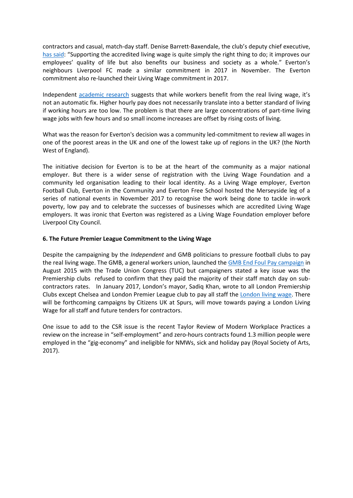contractors and casual, match-day staff. Denise Barrett-Baxendale, the club's deputy chief executive, [has said](http://www.liverpoolecho.co.uk/news/everton-pay-staff-contractors-living-12101127): "Supporting the accredited living wage is quite simply the right thing to do; it improves our employees' quality of life but also benefits our business and society as a whole." Everton's neighbours Liverpool FC made a similar commitment in 2017 in November. The Everton commitment also re-launched their Living Wage commitment in 2017.

Independent [academic research](http://journals.sagepub.com/doi/pdf/10.1177/0263774X15614677) suggests that while workers benefit from the real living wage, it's not an automatic fix. Higher hourly pay does not necessarily translate into a better standard of living if working hours are too low. The problem is that there are large concentrations of part-time living wage jobs with few hours and so small income increases are offset by rising costs of living.

What was the reason for Everton's decision was a community led-commitment to review all wages in one of the poorest areas in the UK and one of the lowest take up of regions in the UK? (the North West of England).

The initiative decision for Everton is to be at the heart of the community as a major national employer. But there is a wider sense of registration with the Living Wage Foundation and a community led organisation leading to their local identity. As a Living Wage employer, Everton Football Club, Everton in the Community and Everton Free School hosted the Merseyside leg of a series of national events in November 2017 to recognise the work being done to tackle in-work poverty, low pay and to celebrate the successes of businesses which are accredited Living Wage employers. It was ironic that Everton was registered as a Living Wage Foundation employer before Liverpool City Council.

#### **6. The Future Premier League Commitment to the Living Wage**

Despite the campaigning by the *Independent* and GMB politicians to pressure football clubs to pay the real living wage. The GMB, a general workers union, launched the [GMB End Foul Pay campaign](http://www.gmb.org.uk/newsroom/play-to-end-foul-pay) in August 2015 with the Trade Union Congress (TUC) but campaigners stated a key issue was the Premiership clubs refused to confirm that they paid the majority of their staff match day on subcontractors rates. In January 2017, London's mayor, Sadiq Khan, wrote to all London Premiership Clubs except Chelsea and London Premier League club to pay all staff the [London living wage.](http://www.standard.co.uk/news/mayor/sadiq-khan-demands-londons-top-football-clubs-pay-living-wage-a3442441.html) There will be forthcoming campaigns by Citizens UK at Spurs, will move towards paying a London Living Wage for all staff and future tenders for contractors.

One issue to add to the CSR issue is the recent Taylor Review of Modern Workplace Practices a review on the increase in "self-employment" and zero-hours contracts found 1.3 million people were employed in the "gig-economy" and ineligible for NMWs, sick and holiday pay (Royal Society of Arts, 2017).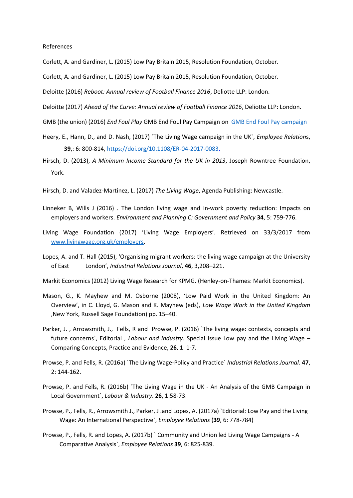References

Corlett, A. and Gardiner, L. (2015) Low Pay Britain 2015, Resolution Foundation, October.

Corlett, A. and Gardiner, L. (2015) Low Pay Britain 2015, Resolution Foundation, October.

Deloitte (2016) *Reboot: Annual review of Football Finance 2016*, Deliotte LLP: London.

Deloitte (2017) *Ahead of the Curve: Annual review of Football Finance 2016*, Deliotte LLP: London.

- GMB (the union) (2016) *End Foul Play* GMB End Foul Pay Campaign on [GMB End Foul Pay campaign](http://www.gmb.org.uk/newsroom/play-to-end-foul-pay)
- Heery, E., Hann, D., and D. Nash, (2017) `The Living Wage campaign in the UK`, *Employee Relation*s, **39**,: 6: 800-814, [https://doi.org/10.1108/ER-04-2017-0083.](https://doi.org/10.1108/ER-04-2017-0083)
- Hirsch, D. (2013), *A Minimum Income Standard for the UK in 2013*, Joseph Rowntree Foundation, York.

Hirsch, D. and Valadez-Martinez, L. (2017) *The Living Wage*, Agenda Publishing: Newcastle.

- Linneker B, Wills J (2016) . The London living wage and in-work poverty reduction: Impacts on employers and workers. *Environment and Planning C: Government and Policy* **34**, 5: 759-776.
- Living Wage Foundation (2017) 'Living Wage Employers'. Retrieved on 33/3/2017 from [www.livingwage.org.uk/employers.](http://www.livingwage.org.uk/employers)
- Lopes, A. and T. Hall (2015), 'Organising migrant workers: the living wage campaign at the University of East London', *Industrial Relations Journal*, **46**, 3,208–221.

Markit Economics (2012) Living Wage Research for KPMG. (Henley-on-Thames: Markit Economics).

- Mason, G., K. Mayhew and M. Osborne (2008), 'Low Paid Work in the United Kingdom: An Overview', in C. Lloyd, G. Mason and K. Mayhew (eds), *Low Wage Work in the United Kingdom* ,New York, Russell Sage Foundation) pp. 15–40.
- Parker, J. , Arrowsmith, J., Fells, R and Prowse, P. (2016) `The living wage: contexts, concepts and future concerns`, Editorial , *Labour and Industry*. Special Issue Low pay and the Living Wage – Comparing Concepts, Practice and Evidence, **26**, 1: 1-7.
- Prowse, P. and Fells, R. (2016a) `The Living Wage-Policy and Practice` *Industrial Relations Journal*. **47**, 2: 144-162.
- Prowse, P. and Fells, R. (2016b) `The Living Wage in the UK An Analysis of the GMB Campaign in Local Government`, *Labour & Industry*. **26**, 1:58-73.
- Prowse, P., Fells, R., Arrowsmith J., Parker, J .and Lopes, A. (2017a) `Editorial: Low Pay and the Living Wage: An International Perspective`, *Employee Relations* (**39**, 6: 778-784)
- Prowse, P., Fells, R. and Lopes, A. (2017b) ` Community and Union led Living Wage Campaigns A Comparative Analysis`, *Employee Relations* **39**, 6: 825-839.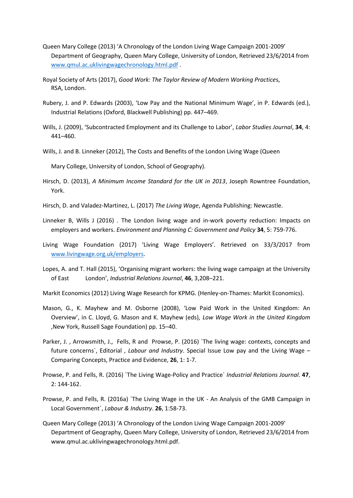- Queen Mary College (2013) 'A Chronology of the London Living Wage Campaign 2001-2009' Department of Geography, Queen Mary College, University of London, Retrieved 23/6/2014 from [www.qmul.ac.uklivingwagechronology.html.pdf](http://www.qmul.ac.uklivingwagechronology.html.pdf/) .
- Royal Society of Arts (2017), *Good Work: The Taylor Review of Modern Working Practice*s, RSA, London.
- Rubery, J. and P. Edwards (2003), 'Low Pay and the National Minimum Wage', in P. Edwards (ed.), Industrial Relations (Oxford, Blackwell Publishing) pp. 447–469.
- Wills, J. (2009), 'Subcontracted Employment and its Challenge to Labor', *Labor Studies Journal*, **34**, 4: 441–460.
- Wills, J. and B. Linneker (2012), The Costs and Benefits of the London Living Wage (Queen

Mary College, University of London, School of Geography).

- Hirsch, D. (2013), *A Minimum Income Standard for the UK in 2013*, Joseph Rowntree Foundation, York.
- Hirsch, D. and Valadez-Martinez, L. (2017) *The Living Wage*, Agenda Publishing: Newcastle.
- Linneker B, Wills J (2016) . The London living wage and in-work poverty reduction: Impacts on employers and workers. *Environment and Planning C: Government and Policy* **34**, 5: 759-776.
- Living Wage Foundation (2017) 'Living Wage Employers'. Retrieved on 33/3/2017 from [www.livingwage.org.uk/employers.](http://www.livingwage.org.uk/employers)
- Lopes, A. and T. Hall (2015), 'Organising migrant workers: the living wage campaign at the University of East London', *Industrial Relations Journal*, **46**, 3,208–221.

Markit Economics (2012) Living Wage Research for KPMG. (Henley-on-Thames: Markit Economics).

- Mason, G., K. Mayhew and M. Osborne (2008), 'Low Paid Work in the United Kingdom: An Overview', in C. Lloyd, G. Mason and K. Mayhew (eds), *Low Wage Work in the United Kingdom* ,New York, Russell Sage Foundation) pp. 15–40.
- Parker, J., Arrowsmith, J., Fells, R and Prowse, P. (2016) `The living wage: contexts, concepts and future concerns`, Editorial , *Labour and Industry*. Special Issue Low pay and the Living Wage – Comparing Concepts, Practice and Evidence, **26**, 1: 1-7.
- Prowse, P. and Fells, R. (2016) `The Living Wage-Policy and Practice` *Industrial Relations Journal*. **47**, 2: 144-162.
- Prowse, P. and Fells, R. (2016a) `The Living Wage in the UK An Analysis of the GMB Campaign in Local Government`, *Labour & Industry*. **26**, 1:58-73.
- Queen Mary College (2013) 'A Chronology of the London Living Wage Campaign 2001-2009' Department of Geography, Queen Mary College, University of London, Retrieved 23/6/2014 from www.qmul.ac.uklivingwagechronology.html.pdf.